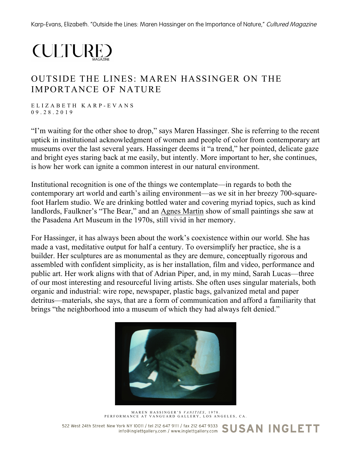Karp-Evans, Elizabeth. "Outside the Lines: Maren Hassinger on the Importance of Nature," Cultured Magazine

## **CULTURE**

## OUTSIDE THE LINES: MAREN HASSINGER ON THE IMPORTANCE OF NATURE

ELIZABETH KARP - EVANS 09.28.2019

"I'm waiting for the other shoe to drop," says Maren Hassinger. She is referring to the recent uptick in institutional acknowledgment of women and people of color from contemporary art museums over the last several years. Hassinger deems it "a trend," her pointed, delicate gaze and bright eyes staring back at me easily, but intently. More important to her, she continues, is how her work can ignite a common interest in our natural environment.

Institutional recognition is one of the things we contemplate—in regards to both the contemporary art world and earth's ailing environment—as we sit in her breezy 700-squarefoot Harlem studio. We are drinking bottled water and covering myriad topics, such as kind landlords, Faulkner's "The Bear," and an Agnes Martin show of small paintings she saw at the Pasadena Art Museum in the 1970s, still vivid in her memory.

For Hassinger, it has always been about the work's coexistence within our world. She has made a vast, meditative output for half a century. To oversimplify her practice, she is a builder. Her sculptures are as monumental as they are demure, conceptually rigorous and assembled with confident simplicity, as is her installation, film and video, performance and public art. Her work aligns with that of Adrian Piper, and, in my mind, Sarah Lucas—three of our most interesting and resourceful living artists. She often uses singular materials, both organic and industrial: wire rope, newspaper, plastic bags, galvanized metal and paper detritus—materials, she says, that are a form of communication and afford a familiarity that brings "the neighborhood into a museum of which they had always felt denied."



MAREN HASSINGER'S *VANITIES* , 1978. PERFORMANCE AT VANGU ARD GALLERY, LOS ANG ELES, CA.

522 West 24th Street New York NY 10011 / tel 212 647 9111 / fax 212 647 9333 SUSAN INGLETT